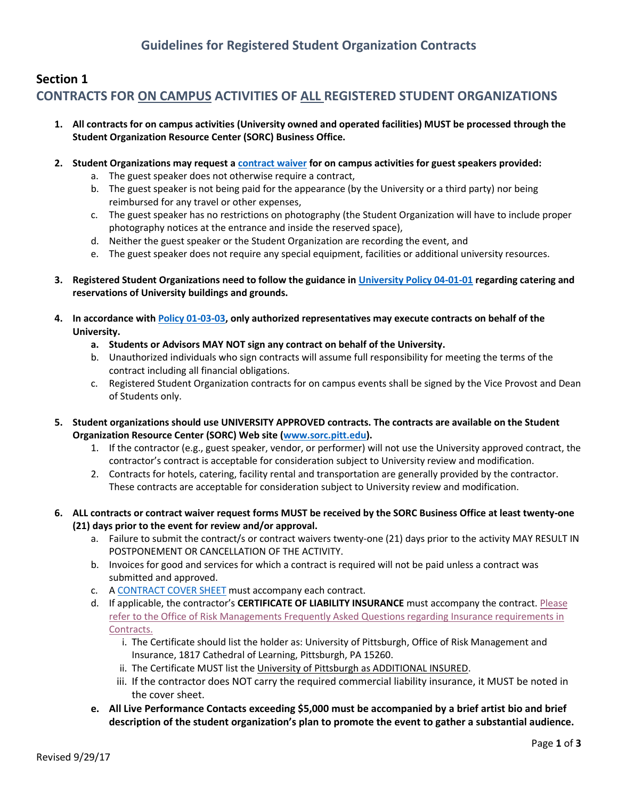# **Section 1 CONTRACTS FOR ON CAMPUS ACTIVITIES OF ALL REGISTERED STUDENT ORGANIZATIONS**

- **1. All contracts for on campus activities (University owned and operated facilities) MUST be processed through the Student Organization Resource Center (SORC) Business Office.**
- **2. Student Organizations may request a [contract waiver](http://www.studentaffairs.pitt.edu/wp-content/uploads/2018/01/Contract-Waiver-Form.doc) for on campus activities for guest speakers provided:**
	- a. The guest speaker does not otherwise require a contract,
	- b. The guest speaker is not being paid for the appearance (by the University or a third party) nor being reimbursed for any travel or other expenses,
	- c. The guest speaker has no restrictions on photography (the Student Organization will have to include proper photography notices at the entrance and inside the reserved space),
	- d. Neither the guest speaker or the Student Organization are recording the event, and
	- e. The guest speaker does not require any special equipment, facilities or additional university resources.
- **3. Registered Student Organizations need to follow the guidance i[n University Policy 04-01-01](http://www.cfo.pitt.edu/policies/policy/04/04-01-01.html) regarding catering and reservations of University buildings and grounds.**
- **4. In accordance wit[h Policy 01-03-03,](https://www.cfo.pitt.edu/policies/policy/01/01-03-03.html) only authorized representatives may execute contracts on behalf of the University.** 
	- **a. Students or Advisors MAY NOT sign any contract on behalf of the University.**
	- b. Unauthorized individuals who sign contracts will assume full responsibility for meeting the terms of the contract including all financial obligations.
	- c. Registered Student Organization contracts for on campus events shall be signed by the Vice Provost and Dean of Students only.
- **5. Student organizations should use UNIVERSITY APPROVED contracts. The contracts are available on the Student Organization Resource Center (SORC) Web site [\(www.sorc.pitt.edu\)](file:///C:/Users/lam145/AppData/Local/Microsoft/Windows/INetCache/Content.Outlook/M4FFIN7A/www.sorc.pitt.edu).** 
	- 1. If the contractor (e.g., guest speaker, vendor, or performer) will not use the University approved contract, the contractor's contract is acceptable for consideration subject to University review and modification.
	- 2. Contracts for hotels, catering, facility rental and transportation are generally provided by the contractor. These contracts are acceptable for consideration subject to University review and modification.
- **6. ALL contracts or contract waiver request forms MUST be received by the SORC Business Office at least twenty-one (21) days prior to the event for review and/or approval.**
	- a. Failure to submit the contract/s or contract waivers twenty-one (21) days prior to the activity MAY RESULT IN POSTPONEMENT OR CANCELLATION OF THE ACTIVITY.
	- b. Invoices for good and services for which a contract is required will not be paid unless a contract was submitted and approved.
	- c. [A CONTRACT COVER SHEET](http://www.studentaffairs.pitt.edu/wp-content/uploads/2017/11/CONTRACT-COVER-SHEET-10_2017.pdf) must accompany each contract.
	- d. If applicable, the contractor's **CERTIFICATE OF LIABILITY INSURANCE** must accompany the contract. [Please](http://www.cfo.pitt.edu/risk/insuranceReqFAQ.html)  [refer to the Office of Risk Managements Frequently Asked Questions regarding Insurance requirements in](http://www.cfo.pitt.edu/risk/insuranceReqFAQ.html)  [Contracts.](http://www.cfo.pitt.edu/risk/insuranceReqFAQ.html)
		- i. The Certificate should list the holder as: University of Pittsburgh, Office of Risk Management and Insurance, 1817 Cathedral of Learning, Pittsburgh, PA 15260.
		- ii. The Certificate MUST list the University of Pittsburgh as ADDITIONAL INSURED.
		- iii. If the contractor does NOT carry the required commercial liability insurance, it MUST be noted in the cover sheet.
	- **e. All Live Performance Contacts exceeding \$5,000 must be accompanied by a brief artist bio and brief description of the student organization's plan to promote the event to gather a substantial audience.**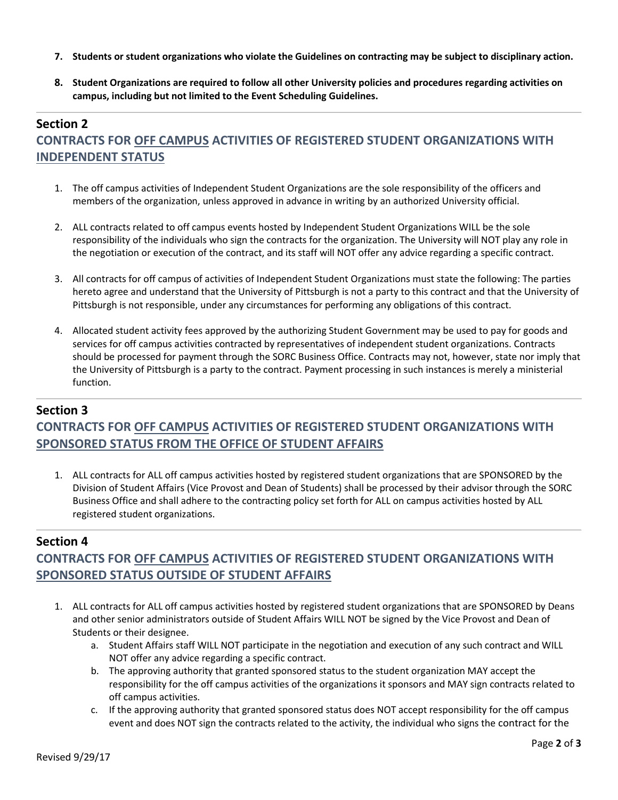- **7. Students or student organizations who violate the Guidelines on contracting may be subject to disciplinary action.**
- **8. Student Organizations are required to follow all other University policies and procedures regarding activities on campus, including but not limited to the Event Scheduling Guidelines.**

# **Section 2 CONTRACTS FOR OFF CAMPUS ACTIVITIES OF REGISTERED STUDENT ORGANIZATIONS WITH INDEPENDENT STATUS**

- 1. The off campus activities of Independent Student Organizations are the sole responsibility of the officers and members of the organization, unless approved in advance in writing by an authorized University official.
- 2. ALL contracts related to off campus events hosted by Independent Student Organizations WILL be the sole responsibility of the individuals who sign the contracts for the organization. The University will NOT play any role in the negotiation or execution of the contract, and its staff will NOT offer any advice regarding a specific contract.
- 3. All contracts for off campus of activities of Independent Student Organizations must state the following: The parties hereto agree and understand that the University of Pittsburgh is not a party to this contract and that the University of Pittsburgh is not responsible, under any circumstances for performing any obligations of this contract.
- 4. Allocated student activity fees approved by the authorizing Student Government may be used to pay for goods and services for off campus activities contracted by representatives of independent student organizations. Contracts should be processed for payment through the SORC Business Office. Contracts may not, however, state nor imply that the University of Pittsburgh is a party to the contract. Payment processing in such instances is merely a ministerial function.

### **Section 3 CONTRACTS FOR OFF CAMPUS ACTIVITIES OF REGISTERED STUDENT ORGANIZATIONS WITH SPONSORED STATUS FROM THE OFFICE OF STUDENT AFFAIRS**

1. ALL contracts for ALL off campus activities hosted by registered student organizations that are SPONSORED by the Division of Student Affairs (Vice Provost and Dean of Students) shall be processed by their advisor through the SORC Business Office and shall adhere to the contracting policy set forth for ALL on campus activities hosted by ALL registered student organizations.

#### **Section 4**

# **CONTRACTS FOR OFF CAMPUS ACTIVITIES OF REGISTERED STUDENT ORGANIZATIONS WITH SPONSORED STATUS OUTSIDE OF STUDENT AFFAIRS**

- 1. ALL contracts for ALL off campus activities hosted by registered student organizations that are SPONSORED by Deans and other senior administrators outside of Student Affairs WILL NOT be signed by the Vice Provost and Dean of Students or their designee.
	- a. Student Affairs staff WILL NOT participate in the negotiation and execution of any such contract and WILL NOT offer any advice regarding a specific contract.
	- b. The approving authority that granted sponsored status to the student organization MAY accept the responsibility for the off campus activities of the organizations it sponsors and MAY sign contracts related to off campus activities.
	- c. If the approving authority that granted sponsored status does NOT accept responsibility for the off campus event and does NOT sign the contracts related to the activity, the individual who signs the contract for the